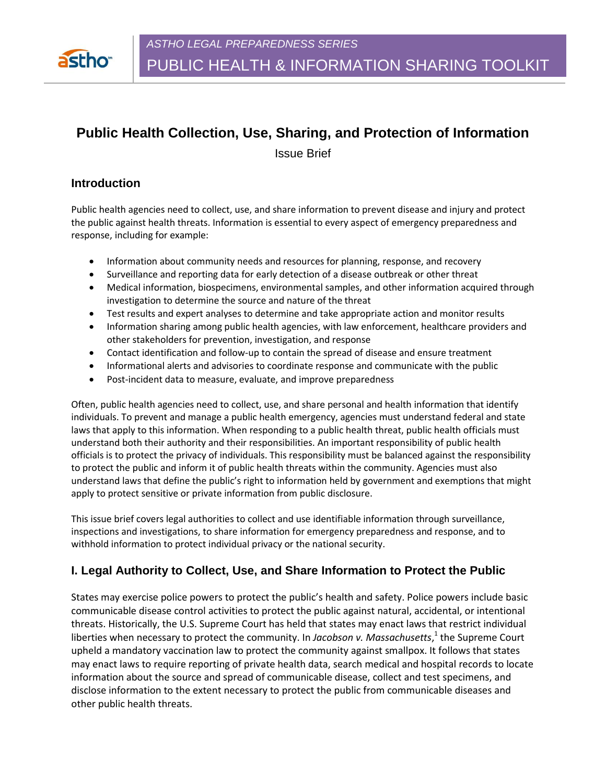

# **Public Health Collection, Use, Sharing, and Protection of Information**

Issue Brief

### **Introduction**

Public health agencies need to collect, use, and share information to prevent disease and injury and protect the public against health threats. Information is essential to every aspect of emergency preparedness and response, including for example:

- Information about community needs and resources for planning, response, and recovery
- Surveillance and reporting data for early detection of a disease outbreak or other threat
- Medical information, biospecimens, environmental samples, and other information acquired through investigation to determine the source and nature of the threat
- Test results and expert analyses to determine and take appropriate action and monitor results
- Information sharing among public health agencies, with law enforcement, healthcare providers and other stakeholders for prevention, investigation, and response
- Contact identification and follow-up to contain the spread of disease and ensure treatment
- Informational alerts and advisories to coordinate response and communicate with the public
- Post-incident data to measure, evaluate, and improve preparedness

Often, public health agencies need to collect, use, and share personal and health information that identify individuals. To prevent and manage a public health emergency, agencies must understand federal and state laws that apply to this information. When responding to a public health threat, public health officials must understand both their authority and their responsibilities. An important responsibility of public health officials is to protect the privacy of individuals. This responsibility must be balanced against the responsibility to protect the public and inform it of public health threats within the community. Agencies must also understand laws that define the public's right to information held by government and exemptions that might apply to protect sensitive or private information from public disclosure.

This issue brief covers legal authorities to collect and use identifiable information through surveillance, inspections and investigations, to share information for emergency preparedness and response, and to withhold information to protect individual privacy or the national security.

# **I. Legal Authority to Collect, Use, and Share Information to Protect the Public**

States may exercise police powers to protect the public's health and safety. Police powers include basic communicable disease control activities to protect the public against natural, accidental, or intentional threats. Historically, the U.S. Supreme Court has held that states may enact laws that restrict individual liberties when necessary to protect the community. In Jacobson v. Massachusetts,<sup>1</sup> the Supreme Court upheld a mandatory vaccination law to protect the community against smallpox. It follows that states may enact laws to require reporting of private health data, search medical and hospital records to locate information about the source and spread of communicable disease, collect and test specimens, and disclose information to the extent necessary to protect the public from communicable diseases and other public health threats.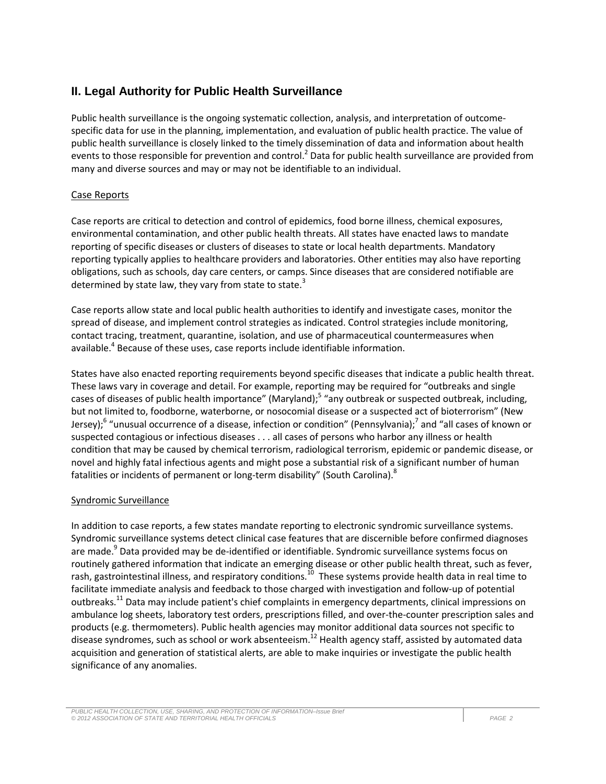# **II. Legal Authority for Public Health Surveillance**

Public health surveillance is the ongoing systematic collection, analysis, and interpretation of outcomespecific data for use in the planning, implementation, and evaluation of public health practice. The value of public health surveillance is closely linked to the timely dissemination of data and information about health events to those responsible for prevention and control.<sup>2</sup> Data for public health surveillance are provided from many and diverse sources and may or may not be identifiable to an individual.

#### Case Reports

Case reports are critical to detection and control of epidemics, food borne illness, chemical exposures, environmental contamination, and other public health threats. All states have enacted laws to mandate reporting of specific diseases or clusters of diseases to state or local health departments. Mandatory reporting typically applies to healthcare providers and laboratories. Other entities may also have reporting obligations, such as schools, day care centers, or camps. Since diseases that are considered notifiable are determined by state law, they vary from state to state. $3$ 

Case reports allow state and local public health authorities to identify and investigate cases, monitor the spread of disease, and implement control strategies as indicated. Control strategies include monitoring, contact tracing, treatment, quarantine, isolation, and use of pharmaceutical countermeasures when available.<sup>4</sup> Because of these uses, case reports include identifiable information.

States have also enacted reporting requirements beyond specific diseases that indicate a public health threat. These laws vary in coverage and detail. For example, reporting may be required for "outbreaks and single cases of diseases of public health importance" (Maryland);<sup>5</sup> "any outbreak or suspected outbreak, including, but not limited to, foodborne, waterborne, or nosocomial disease or a suspected act of bioterrorism" (New Jersey);<sup>6</sup> "unusual occurrence of a disease, infection or condition" (Pennsylvania);<sup>7</sup> and "all cases of known or suspected contagious or infectious diseases . . . all cases of persons who harbor any illness or health condition that may be caused by chemical terrorism, radiological terrorism, epidemic or pandemic disease, or novel and highly fatal infectious agents and might pose a substantial risk of a significant number of human fatalities or incidents of permanent or long-term disability" (South Carolina).<sup>8</sup>

#### Syndromic Surveillance

In addition to case reports, a few states mandate reporting to electronic syndromic surveillance systems. Syndromic surveillance systems detect clinical case features that are discernible before confirmed diagnoses are made.<sup>9</sup> Data provided may be de-identified or identifiable. Syndromic surveillance systems focus on routinely gathered information that indicate an emerging disease or other public health threat, such as fever, rash, gastrointestinal illness, and respiratory conditions.<sup>10</sup> These systems provide health data in real time to facilitate immediate analysis and feedback to those charged with investigation and follow-up of potential outbreaks.<sup>11</sup> Data may include patient's chief complaints in emergency departments, clinical impressions on ambulance log sheets, laboratory test orders, prescriptions filled, and over-the-counter prescription sales and products (e.g. thermometers). Public health agencies may monitor additional data sources not specific to disease syndromes, such as school or work absenteeism.<sup>12</sup> Health agency staff, assisted by automated data acquisition and generation of statistical alerts, are able to make inquiries or investigate the public health significance of any anomalies.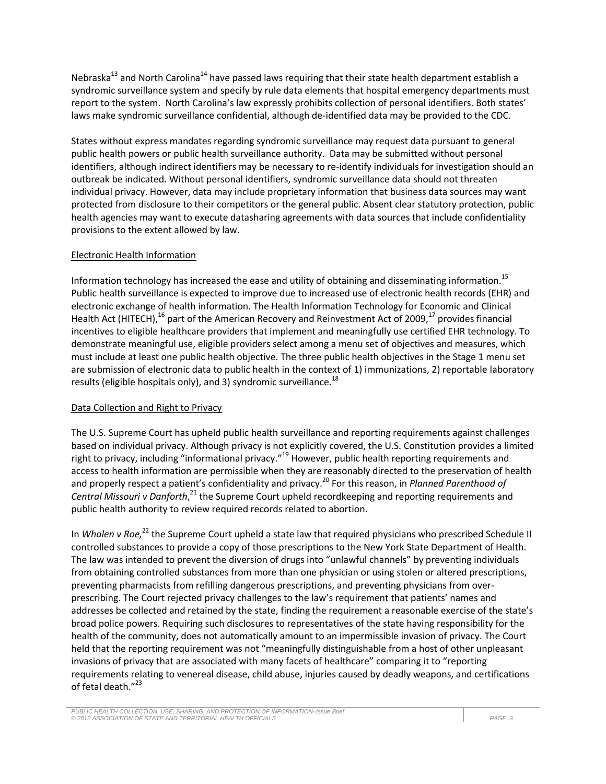Nebraska<sup>13</sup> and North Carolina<sup>14</sup> have passed laws requiring that their state health department establish a syndromic surveillance system and specify by rule data elements that hospital emergency departments must report to the system. North Carolina's law expressly prohibits collection of personal identifiers. Both states' laws make syndromic surveillance confidential, although de-identified data may be provided to the CDC.

States without express mandates regarding syndromic surveillance may request data pursuant to general public health powers or public health surveillance authority. Data may be submitted without personal identifiers, although indirect identifiers may be necessary to re-identify individuals for investigation should an outbreak be indicated. Without personal identifiers, syndromic surveillance data should not threaten individual privacy. However, data may include proprietary information that business data sources may want protected from disclosure to their competitors or the general public. Absent clear statutory protection, public health agencies may want to execute datasharing agreements with data sources that include confidentiality provisions to the extent allowed by law.

#### Electronic Health Information

Information technology has increased the ease and utility of obtaining and disseminating information.<sup>15</sup> Public health surveillance is expected to improve due to increased use of electronic health records (EHR) and electronic exchange of health information. The Health Information Technology for Economic and Clinical Health Act (HITECH),<sup>16</sup> part of the American Recovery and Reinvestment Act of 2009,<sup>17</sup> provides financial incentives to eligible healthcare providers that implement and meaningfully use certified EHR technology. To demonstrate meaningful use, eligible providers select among a menu set of objectives and measures, which must include at least one public health objective. The three public health objectives in the Stage 1 menu set are submission of electronic data to public health in the context of 1) immunizations, 2) reportable laboratory results (eligible hospitals only), and 3) syndromic surveillance.<sup>18</sup>

#### Data Collection and Right to Privacy

The U.S. Supreme Court has upheld public health surveillance and reporting requirements against challenges based on individual privacy. Although privacy is not explicitly covered, the U.S. Constitution provides a limited right to privacy, including "informational privacy."<sup>19</sup> However, public health reporting requirements and access to health information are permissible when they are reasonably directed to the preservation of health and properly respect a patient's confidentiality and privacy. <sup>20</sup> For this reason, in *Planned Parenthood of*  Central Missouri v Danforth,<sup>21</sup> the Supreme Court upheld recordkeeping and reporting requirements and public health authority to review required records related to abortion.

In *Whalen v Roe,* <sup>22</sup> the Supreme Court upheld a state law that required physicians who prescribed Schedule II controlled substances to provide a copy of those prescriptions to the New York State Department of Health. The law was intended to prevent the diversion of drugs into "unlawful channels" by preventing individuals from obtaining controlled substances from more than one physician or using stolen or altered prescriptions, preventing pharmacists from refilling dangerous prescriptions, and preventing physicians from overprescribing. The Court rejected privacy challenges to the law's requirement that patients' names and addresses be collected and retained by the state, finding the requirement a reasonable exercise of the state's broad police powers. Requiring such disclosures to representatives of the state having responsibility for the health of the community, does not automatically amount to an impermissible invasion of privacy. The Court held that the reporting requirement was not "meaningfully distinguishable from a host of other unpleasant invasions of privacy that are associated with many facets of healthcare" comparing it to "reporting requirements relating to venereal disease, child abuse, injuries caused by deadly weapons, and certifications of fetal death."<sup>23</sup>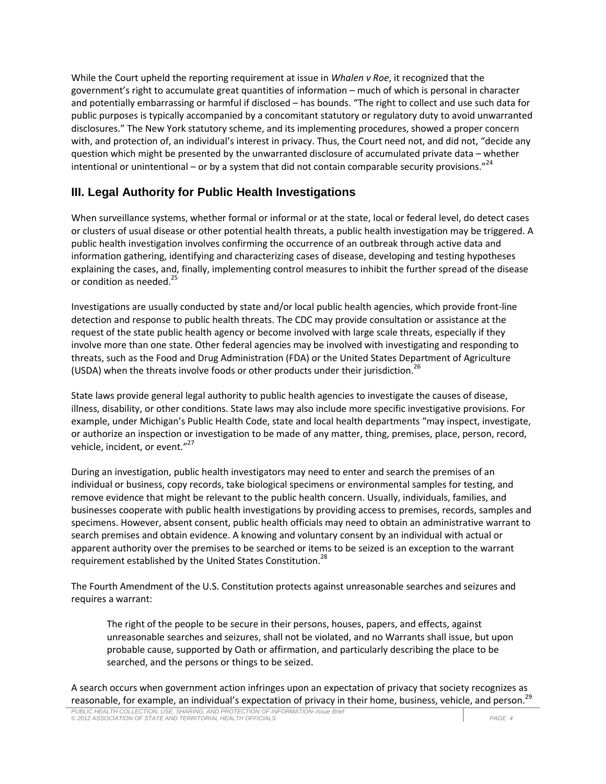While the Court upheld the reporting requirement at issue in *Whalen v Roe*, it recognized that the government's right to accumulate great quantities of information – much of which is personal in character and potentially embarrassing or harmful if disclosed – has bounds. "The right to collect and use such data for public purposes is typically accompanied by a concomitant statutory or regulatory duty to avoid unwarranted disclosures." The New York statutory scheme, and its implementing procedures, showed a proper concern with, and protection of, an individual's interest in privacy. Thus, the Court need not, and did not, "decide any question which might be presented by the unwarranted disclosure of accumulated private data – whether intentional or unintentional – or by a system that did not contain comparable security provisions."<sup>24</sup>

# **III. Legal Authority for Public Health Investigations**

When surveillance systems, whether formal or informal or at the state, local or federal level, do detect cases or clusters of usual disease or other potential health threats, a public health investigation may be triggered. A public health investigation involves confirming the occurrence of an outbreak through active data and information gathering, identifying and characterizing cases of disease, developing and testing hypotheses explaining the cases, and, finally, implementing control measures to inhibit the further spread of the disease or condition as needed.<sup>25</sup>

Investigations are usually conducted by state and/or local public health agencies, which provide front-line detection and response to public health threats. The CDC may provide consultation or assistance at the request of the state public health agency or become involved with large scale threats, especially if they involve more than one state. Other federal agencies may be involved with investigating and responding to threats, such as the Food and Drug Administration (FDA) or the United States Department of Agriculture (USDA) when the threats involve foods or other products under their jurisdiction.<sup>26</sup>

State laws provide general legal authority to public health agencies to investigate the causes of disease, illness, disability, or other conditions. State laws may also include more specific investigative provisions. For example, under Michigan's Public Health Code, state and local health departments "may inspect, investigate, or authorize an inspection or investigation to be made of any matter, thing, premises, place, person, record, vehicle, incident, or event."<sup>27</sup>

During an investigation, public health investigators may need to enter and search the premises of an individual or business, copy records, take biological specimens or environmental samples for testing, and remove evidence that might be relevant to the public health concern. Usually, individuals, families, and businesses cooperate with public health investigations by providing access to premises, records, samples and specimens. However, absent consent, public health officials may need to obtain an administrative warrant to search premises and obtain evidence. A knowing and voluntary consent by an individual with actual or apparent authority over the premises to be searched or items to be seized is an exception to the warrant requirement established by the United States Constitution.<sup>28</sup>

The Fourth Amendment of the U.S. Constitution protects against unreasonable searches and seizures and requires a warrant:

The right of the people to be secure in their persons, houses, papers, and effects, against unreasonable searches and seizures, shall not be violated, and no Warrants shall issue, but upon probable cause, supported by Oath or affirmation, and particularly describing the place to be searched, and the persons or things to be seized.

A search occurs when government action infringes upon an expectation of privacy that society recognizes as reasonable, for example, an individual's expectation of privacy in their home, business, vehicle, and person.<sup>29</sup>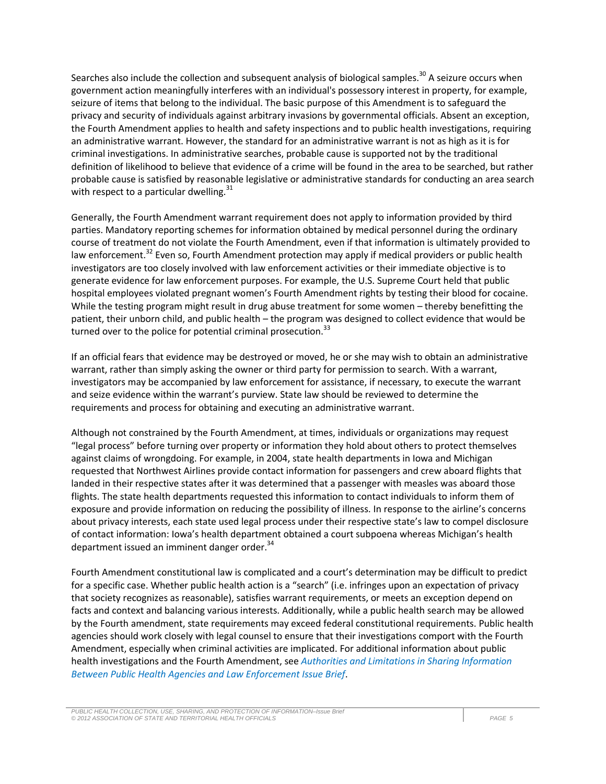Searches also include the collection and subsequent analysis of biological samples.<sup>30</sup> A seizure occurs when government action meaningfully interferes with an individual's possessory interest in property, for example, seizure of items that belong to the individual. The basic purpose of this Amendment is to safeguard the privacy and security of individuals against arbitrary invasions by governmental officials. Absent an exception, the Fourth Amendment applies to health and safety inspections and to public health investigations, requiring an administrative warrant. However, the standard for an administrative warrant is not as high as it is for criminal investigations. In administrative searches, probable cause is supported not by the traditional definition of likelihood to believe that evidence of a crime will be found in the area to be searched, but rather probable cause is satisfied by reasonable legislative or administrative standards for conducting an area search with respect to a particular dwelling. $31$ 

Generally, the Fourth Amendment warrant requirement does not apply to information provided by third parties. Mandatory reporting schemes for information obtained by medical personnel during the ordinary course of treatment do not violate the Fourth Amendment, even if that information is ultimately provided to law enforcement.<sup>32</sup> Even so, Fourth Amendment protection may apply if medical providers or public health investigators are too closely involved with law enforcement activities or their immediate objective is to generate evidence for law enforcement purposes. For example, the U.S. Supreme Court held that public hospital employees violated pregnant women's Fourth Amendment rights by testing their blood for cocaine. While the testing program might result in drug abuse treatment for some women – thereby benefitting the patient, their unborn child, and public health – the program was designed to collect evidence that would be turned over to the police for potential criminal prosecution.<sup>33</sup>

If an official fears that evidence may be destroyed or moved, he or she may wish to obtain an administrative warrant, rather than simply asking the owner or third party for permission to search. With a warrant, investigators may be accompanied by law enforcement for assistance, if necessary, to execute the warrant and seize evidence within the warrant's purview. State law should be reviewed to determine the requirements and process for obtaining and executing an administrative warrant.

Although not constrained by the Fourth Amendment, at times, individuals or organizations may request "legal process" before turning over property or information they hold about others to protect themselves against claims of wrongdoing. For example, in 2004, state health departments in Iowa and Michigan requested that Northwest Airlines provide contact information for passengers and crew aboard flights that landed in their respective states after it was determined that a passenger with measles was aboard those flights. The state health departments requested this information to contact individuals to inform them of exposure and provide information on reducing the possibility of illness. In response to the airline's concerns about privacy interests, each state used legal process under their respective state's law to compel disclosure of contact information: Iowa's health department obtained a court subpoena whereas Michigan's health department issued an imminent danger order.<sup>34</sup>

Fourth Amendment constitutional law is complicated and a court's determination may be difficult to predict for a specific case. Whether public health action is a "search" (i.e. infringes upon an expectation of privacy that society recognizes as reasonable), satisfies warrant requirements, or meets an exception depend on facts and context and balancing various interests. Additionally, while a public health search may be allowed by the Fourth amendment, state requirements may exceed federal constitutional requirements. Public health agencies should work closely with legal counsel to ensure that their investigations comport with the Fourth Amendment, especially when criminal activities are implicated. For additional information about public health investigations and the Fourth Amendment, see *Authorities and Limitations in Sharing Information Between Public Health Agencies and Law Enforcement Issue Brief*.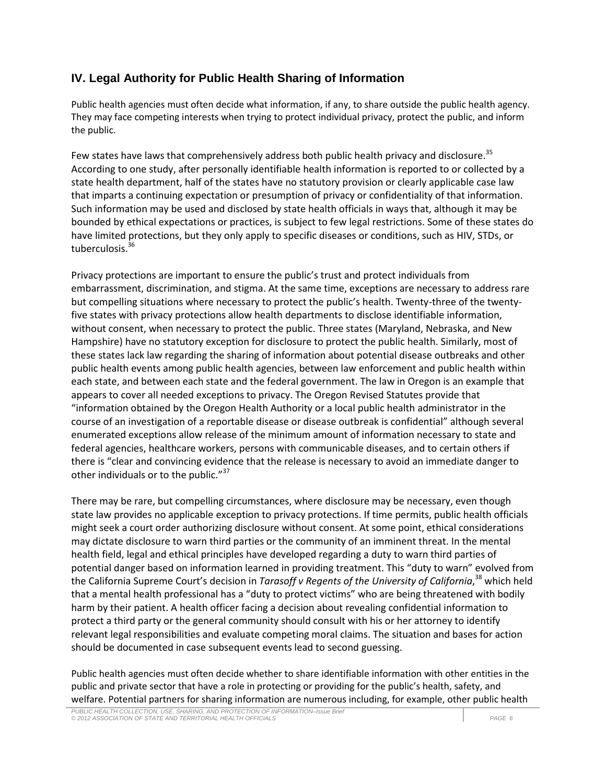# **IV. Legal Authority for Public Health Sharing of Information**

Public health agencies must often decide what information, if any, to share outside the public health agency. They may face competing interests when trying to protect individual privacy, protect the public, and inform the public.

Few states have laws that comprehensively address both public health privacy and disclosure.<sup>35</sup> According to one study, after personally identifiable health information is reported to or collected by a state health department, half of the states have no statutory provision or clearly applicable case law that imparts a continuing expectation or presumption of privacy or confidentiality of that information. Such information may be used and disclosed by state health officials in ways that, although it may be bounded by ethical expectations or practices, is subject to few legal restrictions. Some of these states do have limited protections, but they only apply to specific diseases or conditions, such as HIV, STDs, or tuberculosis.<sup>36</sup>

Privacy protections are important to ensure the public's trust and protect individuals from embarrassment, discrimination, and stigma. At the same time, exceptions are necessary to address rare but compelling situations where necessary to protect the public's health. Twenty-three of the twentyfive states with privacy protections allow health departments to disclose identifiable information, without consent, when necessary to protect the public. Three states (Maryland, Nebraska, and New Hampshire) have no statutory exception for disclosure to protect the public health. Similarly, most of these states lack law regarding the sharing of information about potential disease outbreaks and other public health events among public health agencies, between law enforcement and public health within each state, and between each state and the federal government. The law in Oregon is an example that appears to cover all needed exceptions to privacy. The Oregon Revised Statutes provide that "information obtained by the Oregon Health Authority or a local public health administrator in the course of an investigation of a reportable disease or disease outbreak is confidential" although several enumerated exceptions allow release of the minimum amount of information necessary to state and federal agencies, healthcare workers, persons with communicable diseases, and to certain others if there is "clear and convincing evidence that the release is necessary to avoid an immediate danger to other individuals or to the public."<sup>37</sup>

There may be rare, but compelling circumstances, where disclosure may be necessary, even though state law provides no applicable exception to privacy protections. If time permits, public health officials might seek a court order authorizing disclosure without consent. At some point, ethical considerations may dictate disclosure to warn third parties or the community of an imminent threat. In the mental health field, legal and ethical principles have developed regarding a duty to warn third parties of potential danger based on information learned in providing treatment. This "duty to warn" evolved from the California Supreme Court's decision in *Tarasoff v Regents of the University of California*, <sup>38</sup> which held that a mental health professional has a "duty to protect victims" who are being threatened with bodily harm by their patient. A health officer facing a decision about revealing confidential information to protect a third party or the general community should consult with his or her attorney to identify relevant legal responsibilities and evaluate competing moral claims. The situation and bases for action should be documented in case subsequent events lead to second guessing.

Public health agencies must often decide whether to share identifiable information with other entities in the public and private sector that have a role in protecting or providing for the public's health, safety, and welfare. Potential partners for sharing information are numerous including, for example, other public health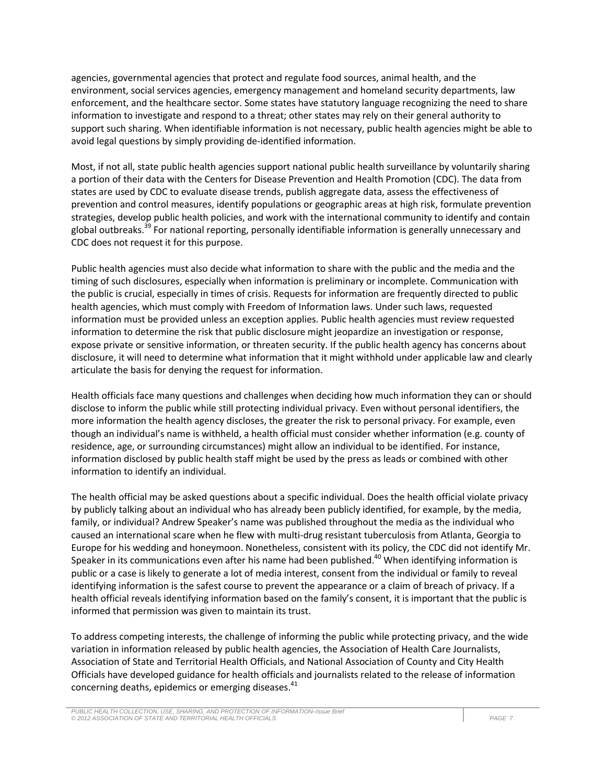agencies, governmental agencies that protect and regulate food sources, animal health, and the environment, social services agencies, emergency management and homeland security departments, law enforcement, and the healthcare sector. Some states have statutory language recognizing the need to share information to investigate and respond to a threat; other states may rely on their general authority to support such sharing. When identifiable information is not necessary, public health agencies might be able to avoid legal questions by simply providing de-identified information.

Most, if not all, state public health agencies support national public health surveillance by voluntarily sharing a portion of their data with the Centers for Disease Prevention and Health Promotion (CDC). The data from states are used by CDC to evaluate disease trends, publish aggregate data, assess the effectiveness of prevention and control measures, identify populations or geographic areas at high risk, formulate prevention strategies, develop public health policies, and work with the international community to identify and contain global outbreaks.<sup>39</sup> For national reporting, personally identifiable information is generally unnecessary and CDC does not request it for this purpose.

Public health agencies must also decide what information to share with the public and the media and the timing of such disclosures, especially when information is preliminary or incomplete. Communication with the public is crucial, especially in times of crisis. Requests for information are frequently directed to public health agencies, which must comply with Freedom of Information laws. Under such laws, requested information must be provided unless an exception applies. Public health agencies must review requested information to determine the risk that public disclosure might jeopardize an investigation or response, expose private or sensitive information, or threaten security. If the public health agency has concerns about disclosure, it will need to determine what information that it might withhold under applicable law and clearly articulate the basis for denying the request for information.

Health officials face many questions and challenges when deciding how much information they can or should disclose to inform the public while still protecting individual privacy. Even without personal identifiers, the more information the health agency discloses, the greater the risk to personal privacy. For example, even though an individual's name is withheld, a health official must consider whether information (e.g. county of residence, age, or surrounding circumstances) might allow an individual to be identified. For instance, information disclosed by public health staff might be used by the press as leads or combined with other information to identify an individual.

The health official may be asked questions about a specific individual. Does the health official violate privacy by publicly talking about an individual who has already been publicly identified, for example, by the media, family, or individual? Andrew Speaker's name was published throughout the media as the individual who caused an international scare when he flew with multi-drug resistant tuberculosis from Atlanta, Georgia to Europe for his wedding and honeymoon. Nonetheless, consistent with its policy, the CDC did not identify Mr. Speaker in its communications even after his name had been published.<sup>40</sup> When identifying information is public or a case is likely to generate a lot of media interest, consent from the individual or family to reveal identifying information is the safest course to prevent the appearance or a claim of breach of privacy. If a health official reveals identifying information based on the family's consent, it is important that the public is informed that permission was given to maintain its trust.

To address competing interests, the challenge of informing the public while protecting privacy, and the wide variation in information released by public health agencies, the Association of Health Care Journalists, Association of State and Territorial Health Officials, and National Association of County and City Health Officials have developed guidance for health officials and journalists related to the release of information concerning deaths, epidemics or emerging diseases.<sup>41</sup>

*PUBLIC HEALTH COLLECTION, USE, SHARING, AND PROTECTION OF INFORMATION–Issue Brief © 2012 ASSOCIATION OF STATE AND TERRITORIAL HEALTH OFFICIALS PAGE 7*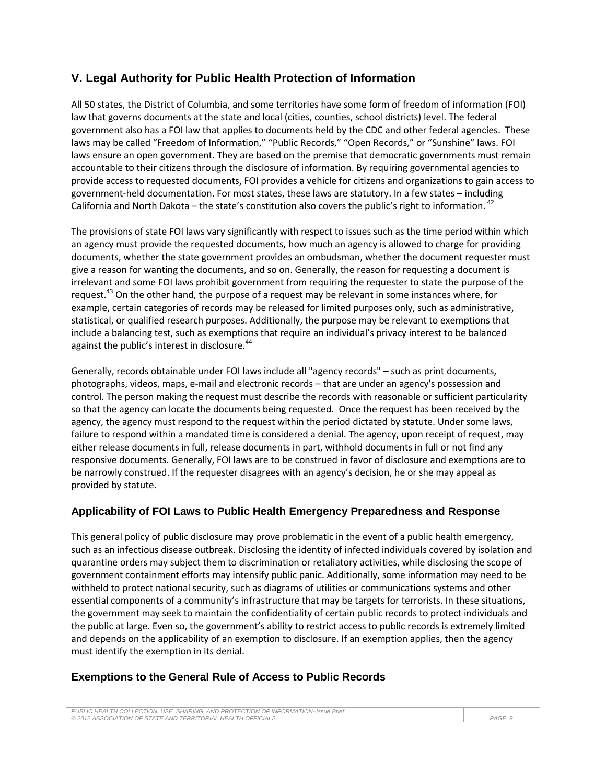## **V. Legal Authority for Public Health Protection of Information**

All 50 states, the District of Columbia, and some territories have some form of freedom of information (FOI) law that governs documents at the state and local (cities, counties, school districts) level. The federal government also has a FOI law that applies to documents held by the CDC and other federal agencies. These laws may be called "Freedom of Information," "Public Records," "Open Records," or "Sunshine" laws. FOI laws ensure an open government. They are based on the premise that democratic governments must remain accountable to their citizens through the disclosure of information. By requiring governmental agencies to provide access to requested documents, FOI provides a vehicle for citizens and organizations to gain access to government-held documentation. For most states, these laws are statutory. In a few states – including California and North Dakota – the state's constitution also covers the public's right to information.  $42$ 

The provisions of state FOI laws vary significantly with respect to issues such as the time period within which an agency must provide the requested documents, how much an agency is allowed to charge for providing documents, whether the state government provides an ombudsman, whether the document requester must give a reason for wanting the documents, and so on. Generally, the reason for requesting a document is irrelevant and some FOI laws prohibit government from requiring the requester to state the purpose of the request.<sup>43</sup> On the other hand, the purpose of a request may be relevant in some instances where, for example, certain categories of records may be released for limited purposes only, such as administrative, statistical, or qualified research purposes. Additionally, the purpose may be relevant to exemptions that include a balancing test, such as exemptions that require an individual's privacy interest to be balanced against the public's interest in disclosure.<sup>44</sup>

Generally, records obtainable under FOI laws include all "agency records" – such as print documents, photographs, videos, maps, e-mail and electronic records – that are under an agency's possession and control. The person making the request must describe the records with reasonable or sufficient particularity so that the agency can locate the documents being requested. Once the request has been received by the agency, the agency must respond to the request within the period dictated by statute. Under some laws, failure to respond within a mandated time is considered a denial. The agency, upon receipt of request, may either release documents in full, release documents in part, withhold documents in full or not find any responsive documents. Generally, FOI laws are to be construed in favor of disclosure and exemptions are to be narrowly construed. If the requester disagrees with an agency's decision, he or she may appeal as provided by statute.

#### **Applicability of FOI Laws to Public Health Emergency Preparedness and Response**

This general policy of public disclosure may prove problematic in the event of a public health emergency, such as an infectious disease outbreak. Disclosing the identity of infected individuals covered by isolation and quarantine orders may subject them to discrimination or retaliatory activities, while disclosing the scope of government containment efforts may intensify public panic. Additionally, some information may need to be withheld to protect national security, such as diagrams of utilities or communications systems and other essential components of a community's infrastructure that may be targets for terrorists. In these situations, the government may seek to maintain the confidentiality of certain public records to protect individuals and the public at large. Even so, the government's ability to restrict access to public records is extremely limited and depends on the applicability of an exemption to disclosure. If an exemption applies, then the agency must identify the exemption in its denial.

#### **Exemptions to the General Rule of Access to Public Records**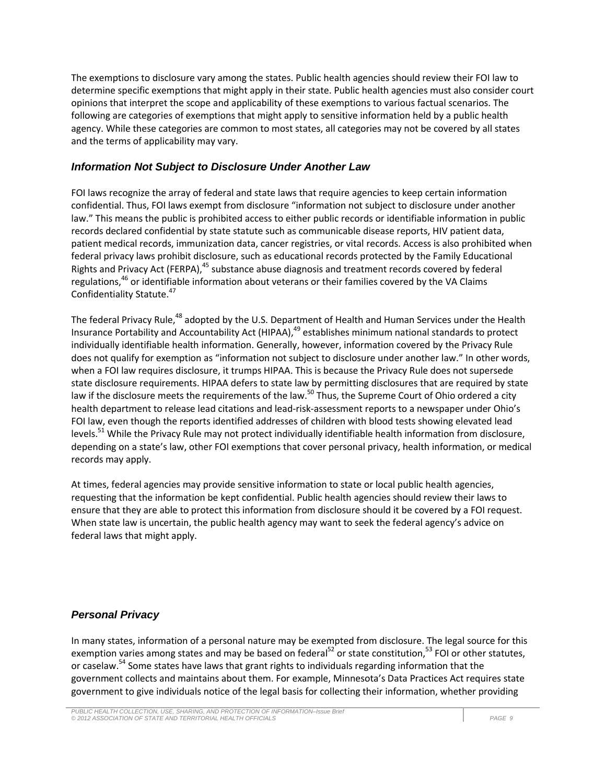The exemptions to disclosure vary among the states. Public health agencies should review their FOI law to determine specific exemptions that might apply in their state. Public health agencies must also consider court opinions that interpret the scope and applicability of these exemptions to various factual scenarios. The following are categories of exemptions that might apply to sensitive information held by a public health agency. While these categories are common to most states, all categories may not be covered by all states and the terms of applicability may vary.

#### *Information Not Subject to Disclosure Under Another Law*

FOI laws recognize the array of federal and state laws that require agencies to keep certain information confidential. Thus, FOI laws exempt from disclosure "information not subject to disclosure under another law." This means the public is prohibited access to either public records or identifiable information in public records declared confidential by state statute such as communicable disease reports, HIV patient data, patient medical records, immunization data, cancer registries, or vital records. Access is also prohibited when federal privacy laws prohibit disclosure, such as educational records protected by the Family Educational Rights and Privacy Act (FERPA),<sup>45</sup> substance abuse diagnosis and treatment records covered by federal regulations,<sup>46</sup> or identifiable information about veterans or their families covered by the VA Claims Confidentiality Statute.<sup>47</sup>

The federal Privacy Rule,<sup>48</sup> adopted by the U.S. Department of Health and Human Services under the Health Insurance Portability and Accountability Act (HIPAA),<sup>49</sup> establishes minimum national standards to protect individually identifiable health information. Generally, however, information covered by the Privacy Rule does not qualify for exemption as "information not subject to disclosure under another law." In other words, when a FOI law requires disclosure, it trumps HIPAA. This is because the Privacy Rule does not supersede state disclosure requirements. HIPAA defers to state law by permitting disclosures that are required by state law if the disclosure meets the requirements of the law.<sup>50</sup> Thus, the Supreme Court of Ohio ordered a city health department to release lead citations and lead-risk-assessment reports to a newspaper under Ohio's FOI law, even though the reports identified addresses of children with blood tests showing elevated lead levels.<sup>51</sup> While the Privacy Rule may not protect individually identifiable health information from disclosure, depending on a state's law, other FOI exemptions that cover personal privacy, health information, or medical records may apply.

At times, federal agencies may provide sensitive information to state or local public health agencies, requesting that the information be kept confidential. Public health agencies should review their laws to ensure that they are able to protect this information from disclosure should it be covered by a FOI request. When state law is uncertain, the public health agency may want to seek the federal agency's advice on federal laws that might apply.

#### *Personal Privacy*

In many states, information of a personal nature may be exempted from disclosure. The legal source for this exemption varies among states and may be based on federal<sup>52</sup> or state constitution,<sup>53</sup> FOI or other statutes, or caselaw.<sup>54</sup> Some states have laws that grant rights to individuals regarding information that the government collects and maintains about them. For example, Minnesota's Data Practices Act requires state government to give individuals notice of the legal basis for collecting their information, whether providing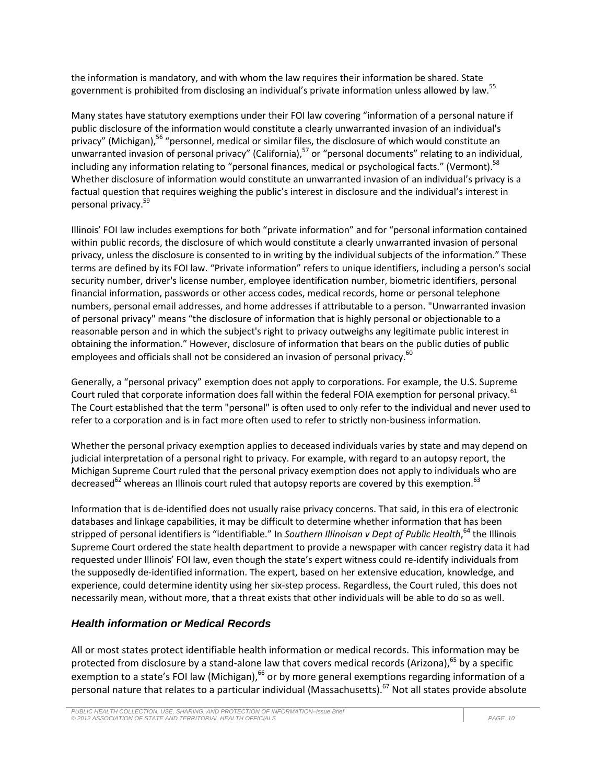the information is mandatory, and with whom the law requires their information be shared. State government is prohibited from disclosing an individual's private information unless allowed by law.<sup>55</sup>

Many states have statutory exemptions under their FOI law covering "information of a personal nature if public disclosure of the information would constitute a clearly unwarranted invasion of an individual's privacy" (Michigan),<sup>56</sup> "personnel, medical or similar files, the disclosure of which would constitute an unwarranted invasion of personal privacy" (California),<sup>57</sup> or "personal documents" relating to an individual, including any information relating to "personal finances, medical or psychological facts." (Vermont).<sup>58</sup> Whether disclosure of information would constitute an unwarranted invasion of an individual's privacy is a factual question that requires weighing the public's interest in disclosure and the individual's interest in personal privacy. 59

Illinois' FOI law includes exemptions for both "private information" and for "personal information contained within public records, the disclosure of which would constitute a clearly unwarranted invasion of personal privacy, unless the disclosure is consented to in writing by the individual subjects of the information." These terms are defined by its FOI law. "Private information" refers to unique identifiers, including a person's social security number, driver's license number, employee identification number, biometric identifiers, personal financial information, passwords or other access codes, medical records, home or personal telephone numbers, personal email addresses, and home addresses if attributable to a person. "Unwarranted invasion of personal privacy" means "the disclosure of information that is highly personal or objectionable to a reasonable person and in which the subject's right to privacy outweighs any legitimate public interest in obtaining the information." However, disclosure of information that bears on the public duties of public employees and officials shall not be considered an invasion of personal privacy.<sup>60</sup>

Generally, a "personal privacy" exemption does not apply to corporations. For example, the U.S. Supreme Court ruled that corporate information does fall within the federal FOIA exemption for personal privacy.<sup>61</sup> The Court established that the term "personal" is often used to only refer to the individual and never used to refer to a corporation and is in fact more often used to refer to strictly non-business information.

Whether the personal privacy exemption applies to deceased individuals varies by state and may depend on judicial interpretation of a personal right to privacy. For example, with regard to an autopsy report, the Michigan Supreme Court ruled that the personal privacy exemption does not apply to individuals who are decreased<sup>62</sup> whereas an Illinois court ruled that autopsy reports are covered by this exemption.<sup>63</sup>

Information that is de-identified does not usually raise privacy concerns. That said, in this era of electronic databases and linkage capabilities, it may be difficult to determine whether information that has been stripped of personal identifiers is "identifiable." In *Southern Illinoisan v Dept of Public Health*, <sup>64</sup> the Illinois Supreme Court ordered the state health department to provide a newspaper with cancer registry data it had requested under Illinois' FOI law, even though the state's expert witness could re-identify individuals from the supposedly de-identified information. The expert, based on her extensive education, knowledge, and experience, could determine identity using her six-step process. Regardless, the Court ruled, this does not necessarily mean, without more, that a threat exists that other individuals will be able to do so as well.

### *Health information or Medical Records*

All or most states protect identifiable health information or medical records. This information may be protected from disclosure by a stand-alone law that covers medical records (Arizona),  $^{65}$  by a specific exemption to a state's FOI law (Michigan),<sup>66</sup> or by more general exemptions regarding information of a personal nature that relates to a particular individual (Massachusetts).<sup>67</sup> Not all states provide absolute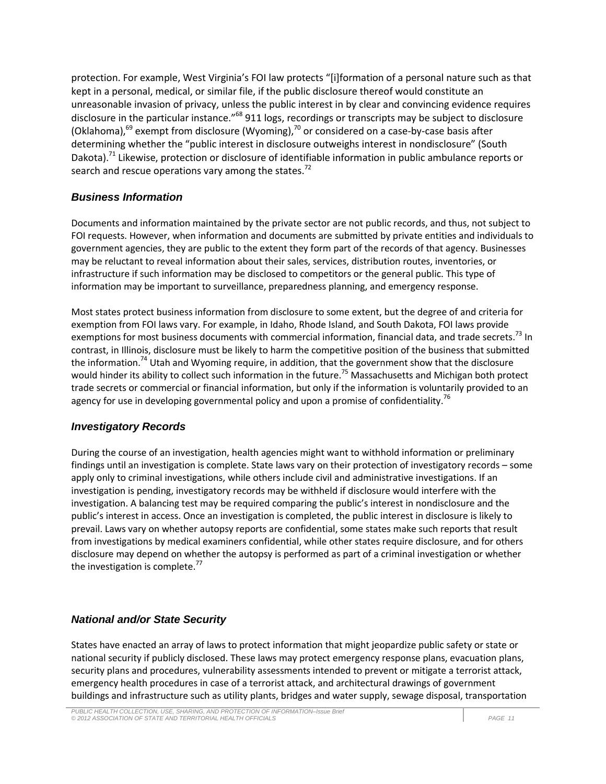protection. For example, West Virginia's FOI law protects "[i]formation of a personal nature such as that kept in a personal, medical, or similar file, if the public disclosure thereof would constitute an unreasonable invasion of privacy, unless the public interest in by clear and convincing evidence requires disclosure in the particular instance."<sup>68</sup> 911 logs, recordings or transcripts may be subject to disclosure (Oklahoma), $^{69}$  exempt from disclosure (Wyoming), $^{70}$  or considered on a case-by-case basis after determining whether the "public interest in disclosure outweighs interest in nondisclosure" (South Dakota).<sup>71</sup> Likewise, protection or disclosure of identifiable information in public ambulance reports or search and rescue operations vary among the states.<sup>72</sup>

#### *Business Information*

Documents and information maintained by the private sector are not public records, and thus, not subject to FOI requests. However, when information and documents are submitted by private entities and individuals to government agencies, they are public to the extent they form part of the records of that agency. Businesses may be reluctant to reveal information about their sales, services, distribution routes, inventories, or infrastructure if such information may be disclosed to competitors or the general public. This type of information may be important to surveillance, preparedness planning, and emergency response.

Most states protect business information from disclosure to some extent, but the degree of and criteria for exemption from FOI laws vary. For example, in Idaho, Rhode Island, and South Dakota, FOI laws provide exemptions for most business documents with commercial information, financial data, and trade secrets.<sup>73</sup> In contrast, in Illinois, disclosure must be likely to harm the competitive position of the business that submitted the information.<sup>74</sup> Utah and Wyoming require, in addition, that the government show that the disclosure would hinder its ability to collect such information in the future.<sup>75</sup> Massachusetts and Michigan both protect trade secrets or commercial or financial information, but only if the information is voluntarily provided to an agency for use in developing governmental policy and upon a promise of confidentiality.<sup>76</sup>

### *Investigatory Records*

During the course of an investigation, health agencies might want to withhold information or preliminary findings until an investigation is complete. State laws vary on their protection of investigatory records – some apply only to criminal investigations, while others include civil and administrative investigations. If an investigation is pending, investigatory records may be withheld if disclosure would interfere with the investigation. A balancing test may be required comparing the public's interest in nondisclosure and the public's interest in access. Once an investigation is completed, the public interest in disclosure is likely to prevail. Laws vary on whether autopsy reports are confidential, some states make such reports that result from investigations by medical examiners confidential, while other states require disclosure, and for others disclosure may depend on whether the autopsy is performed as part of a criminal investigation or whether the investigation is complete. $77$ 

### *National and/or State Security*

States have enacted an array of laws to protect information that might jeopardize public safety or state or national security if publicly disclosed. These laws may protect emergency response plans, evacuation plans, security plans and procedures, vulnerability assessments intended to prevent or mitigate a terrorist attack, emergency health procedures in case of a terrorist attack, and architectural drawings of government buildings and infrastructure such as utility plants, bridges and water supply, sewage disposal, transportation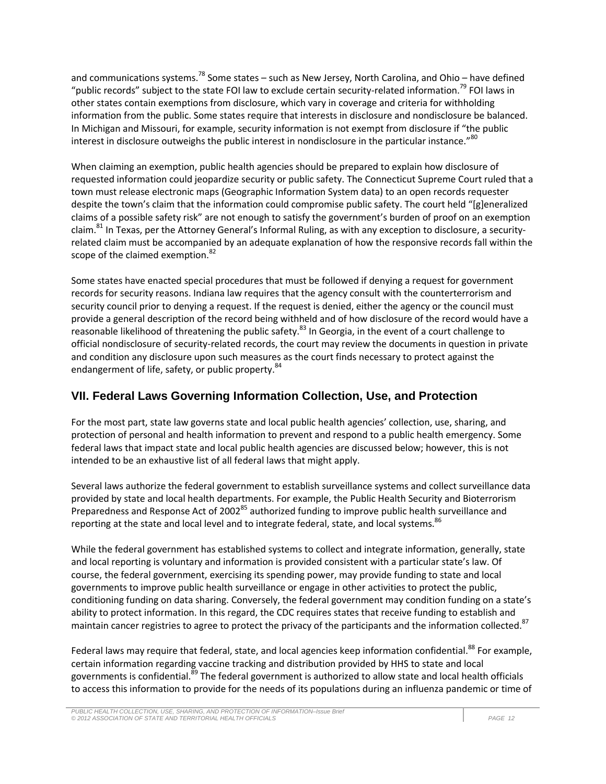and communications systems.<sup>78</sup> Some states – such as New Jersey, North Carolina, and Ohio – have defined "public records" subject to the state FOI law to exclude certain security-related information.<sup>79</sup> FOI laws in other states contain exemptions from disclosure, which vary in coverage and criteria for withholding information from the public. Some states require that interests in disclosure and nondisclosure be balanced. In Michigan and Missouri, for example, security information is not exempt from disclosure if "the public interest in disclosure outweighs the public interest in nondisclosure in the particular instance."<sup>80</sup>

When claiming an exemption, public health agencies should be prepared to explain how disclosure of requested information could jeopardize security or public safety. The Connecticut Supreme Court ruled that a town must release electronic maps (Geographic Information System data) to an open records requester despite the town's claim that the information could compromise public safety. The court held "[g]eneralized claims of a possible safety risk" are not enough to satisfy the government's burden of proof on an exemption claim.<sup>81</sup> In Texas, per the Attorney General's Informal Ruling, as with any exception to disclosure, a securityrelated claim must be accompanied by an adequate explanation of how the responsive records fall within the scope of the claimed exemption.<sup>82</sup>

Some states have enacted special procedures that must be followed if denying a request for government records for security reasons. Indiana law requires that the agency consult with the counterterrorism and security council prior to denying a request. If the request is denied, either the agency or the council must provide a general description of the record being withheld and of how disclosure of the record would have a reasonable likelihood of threatening the public safety.<sup>83</sup> In Georgia, in the event of a court challenge to official nondisclosure of security-related records, the court may review the documents in question in private and condition any disclosure upon such measures as the court finds necessary to protect against the endangerment of life, safety, or public property.<sup>84</sup>

# **VII. Federal Laws Governing Information Collection, Use, and Protection**

For the most part, state law governs state and local public health agencies' collection, use, sharing, and protection of personal and health information to prevent and respond to a public health emergency. Some federal laws that impact state and local public health agencies are discussed below; however, this is not intended to be an exhaustive list of all federal laws that might apply.

Several laws authorize the federal government to establish surveillance systems and collect surveillance data provided by state and local health departments. For example, the Public Health Security and Bioterrorism Preparedness and Response Act of 2002<sup>85</sup> authorized funding to improve public health surveillance and reporting at the state and local level and to integrate federal, state, and local systems.<sup>86</sup>

While the federal government has established systems to collect and integrate information, generally, state and local reporting is voluntary and information is provided consistent with a particular state's law. Of course, the federal government, exercising its spending power, may provide funding to state and local governments to improve public health surveillance or engage in other activities to protect the public, conditioning funding on data sharing. Conversely, the federal government may condition funding on a state's ability to protect information. In this regard, the CDC requires states that receive funding to establish and maintain cancer registries to agree to protect the privacy of the participants and the information collected.<sup>87</sup>

Federal laws may require that federal, state, and local agencies keep information confidential.<sup>88</sup> For example, certain information regarding vaccine tracking and distribution provided by HHS to state and local governments is confidential.<sup>89</sup> The federal government is authorized to allow state and local health officials to access this information to provide for the needs of its populations during an influenza pandemic or time of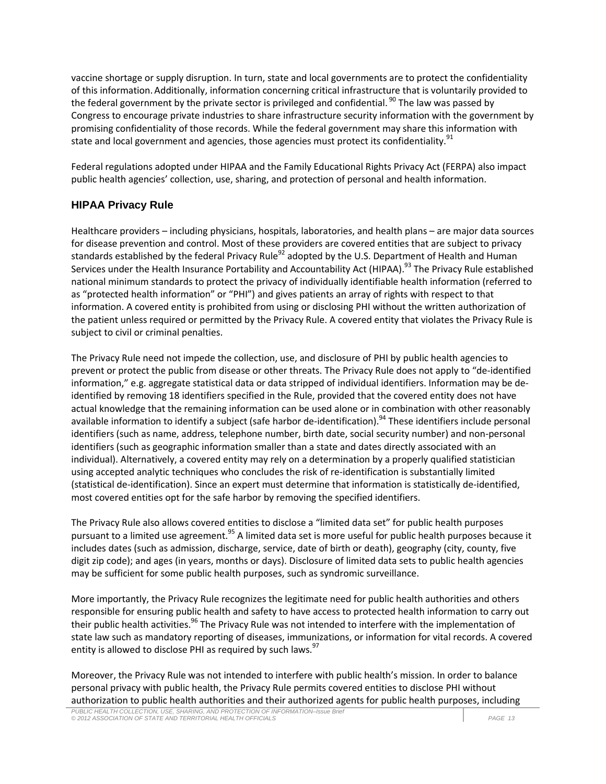vaccine shortage or supply disruption. In turn, state and local governments are to protect the confidentiality of this information.Additionally, information concerning critical infrastructure that is voluntarily provided to the federal government by the private sector is privileged and confidential.<sup>90</sup> The law was passed by Congress to encourage private industries to share infrastructure security information with the government by promising confidentiality of those records. While the federal government may share this information with state and local government and agencies, those agencies must protect its confidentiality.<sup>91</sup>

Federal regulations adopted under HIPAA and the Family Educational Rights Privacy Act (FERPA) also impact public health agencies' collection, use, sharing, and protection of personal and health information.

#### **HIPAA Privacy Rule**

Healthcare providers – including physicians, hospitals, laboratories, and health plans – are major data sources for disease prevention and control. Most of these providers are covered entities that are subject to privacy standards established by the federal Privacy Rule<sup>92</sup> adopted by the U.S. Department of Health and Human Services under the Health Insurance Portability and Accountability Act (HIPAA).<sup>93</sup> The Privacy Rule established national minimum standards to protect the privacy of individually identifiable health information (referred to as "protected health information" or "PHI") and gives patients an array of rights with respect to that information. A covered entity is prohibited from using or disclosing PHI without the written authorization of the patient unless required or permitted by the Privacy Rule. A covered entity that violates the Privacy Rule is subject to civil or criminal penalties.

The Privacy Rule need not impede the collection, use, and disclosure of PHI by public health agencies to prevent or protect the public from disease or other threats. The Privacy Rule does not apply to "de-identified information," e.g. aggregate statistical data or data stripped of individual identifiers. Information may be deidentified by removing 18 identifiers specified in the Rule, provided that the covered entity does not have actual knowledge that the remaining information can be used alone or in combination with other reasonably available information to identify a subject (safe harbor de-identification).<sup>94</sup> These identifiers include personal identifiers (such as name, address, telephone number, birth date, social security number) and non-personal identifiers (such as geographic information smaller than a state and dates directly associated with an individual). Alternatively, a covered entity may rely on a determination by a properly qualified statistician using accepted analytic techniques who concludes the risk of re-identification is substantially limited (statistical de-identification). Since an expert must determine that information is statistically de-identified, most covered entities opt for the safe harbor by removing the specified identifiers.

The Privacy Rule also allows covered entities to disclose a "limited data set" for public health purposes pursuant to a limited use agreement.<sup>95</sup> A limited data set is more useful for public health purposes because it includes dates (such as admission, discharge, service, date of birth or death), geography (city, county, five digit zip code); and ages (in years, months or days). Disclosure of limited data sets to public health agencies may be sufficient for some public health purposes, such as syndromic surveillance.

More importantly, the Privacy Rule recognizes the legitimate need for public health authorities and others responsible for ensuring public health and safety to have access to protected health information to carry out their public health activities.<sup>96</sup> The Privacy Rule was not intended to interfere with the implementation of state law such as mandatory reporting of diseases, immunizations, or information for vital records. A covered entity is allowed to disclose PHI as required by such laws.  $97$ 

Moreover, the Privacy Rule was not intended to interfere with public health's mission. In order to balance personal privacy with public health, the Privacy Rule permits covered entities to disclose PHI without authorization to public health authorities and their authorized agents for public health purposes, including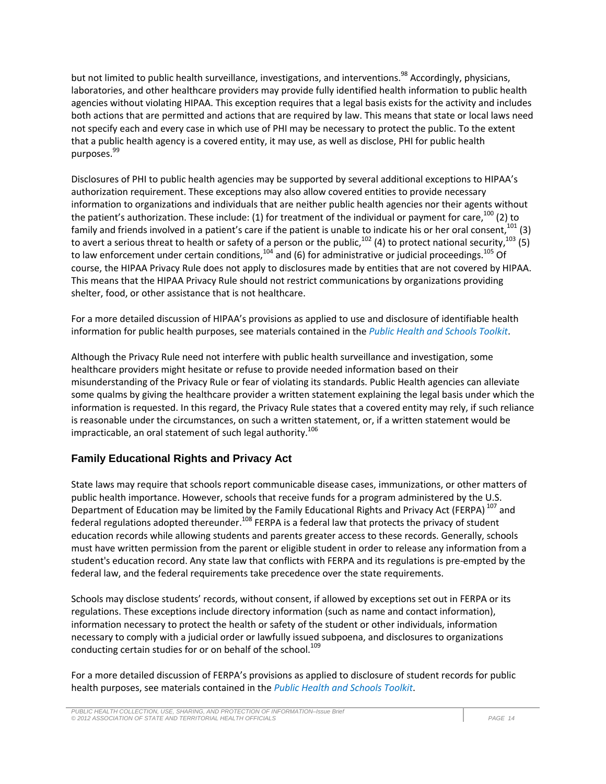but not limited to public health surveillance, investigations, and interventions.<sup>98</sup> Accordingly, physicians, laboratories, and other healthcare providers may provide fully identified health information to public health agencies without violating HIPAA. This exception requires that a legal basis exists for the activity and includes both actions that are permitted and actions that are required by law. This means that state or local laws need not specify each and every case in which use of PHI may be necessary to protect the public. To the extent that a public health agency is a covered entity, it may use, as well as disclose, PHI for public health purposes. 99

Disclosures of PHI to public health agencies may be supported by several additional exceptions to HIPAA's authorization requirement. These exceptions may also allow covered entities to provide necessary information to organizations and individuals that are neither public health agencies nor their agents without the patient's authorization. These include: (1) for treatment of the individual or payment for care,<sup>100</sup> (2) to family and friends involved in a patient's care if the patient is unable to indicate his or her oral consent,  $^{101}$  (3) to avert a serious threat to health or safety of a person or the public,<sup>102</sup> (4) to protect national security,<sup>103</sup> (5) to law enforcement under certain conditions,  $^{104}$  and (6) for administrative or judicial proceedings.  $^{105}$  Of course, the HIPAA Privacy Rule does not apply to disclosures made by entities that are not covered by HIPAA. This means that the HIPAA Privacy Rule should not restrict communications by organizations providing shelter, food, or other assistance that is not healthcare.

For a more detailed discussion of HIPAA's provisions as applied to use and disclosure of identifiable health information for public health purposes, see materials contained in the *Public Health and Schools Toolkit*.

Although the Privacy Rule need not interfere with public health surveillance and investigation, some healthcare providers might hesitate or refuse to provide needed information based on their misunderstanding of the Privacy Rule or fear of violating its standards. Public Health agencies can alleviate some qualms by giving the healthcare provider a written statement explaining the legal basis under which the information is requested. In this regard, the Privacy Rule states that a covered entity may rely, if such reliance is reasonable under the circumstances, on such a written statement, or, if a written statement would be impracticable, an oral statement of such legal authority.<sup>106</sup>

#### **Family Educational Rights and Privacy Act**

State laws may require that schools report communicable disease cases, immunizations, or other matters of public health importance. However, schools that receive funds for a program administered by the U.S. Department of Education may be limited by the Family Educational Rights and Privacy Act (FERPA)<sup>107</sup> and federal regulations adopted thereunder.<sup>108</sup> FERPA is a federal law that protects the privacy of student education records while allowing students and parents greater access to these records. Generally, schools must have written permission from the parent or eligible student in order to release any information from a student's education record. Any state law that conflicts with FERPA and its regulations is pre-empted by the federal law, and the federal requirements take precedence over the state requirements.

Schools may disclose students' records, without consent, if allowed by exceptions set out in FERPA or its regulations. These exceptions include directory information (such as name and contact information), information necessary to protect the health or safety of the student or other individuals, information necessary to comply with a judicial order or lawfully issued subpoena, and disclosures to organizations conducting certain studies for or on behalf of the school.<sup>109</sup>

For a more detailed discussion of FERPA's provisions as applied to disclosure of student records for public health purposes, see materials contained in the *Public Health and Schools Toolkit*.

*PUBLIC HEALTH COLLECTION, USE, SHARING, AND PROTECTION OF INFORMATION–Issue Brief © 2012 ASSOCIATION OF STATE AND TERRITORIAL HEALTH OFFICIALS PAGE 14*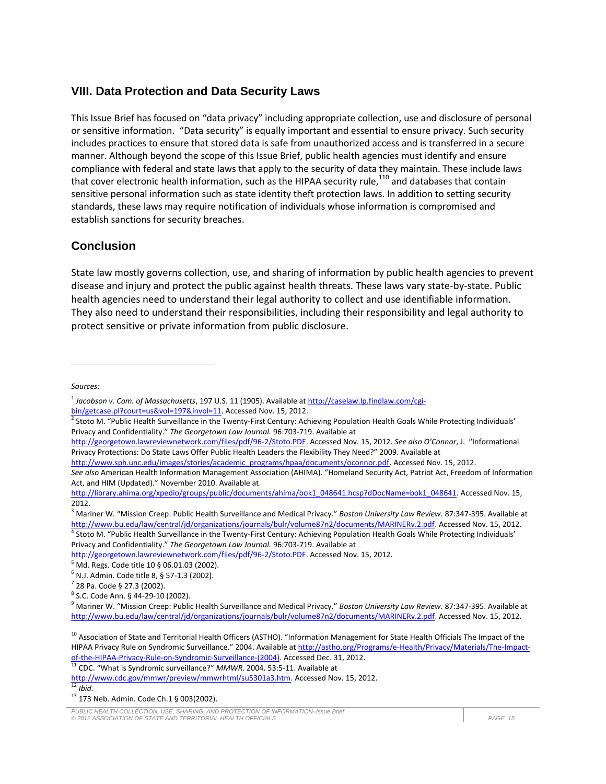## **VIII. Data Protection and Data Security Laws**

This Issue Brief has focused on "data privacy" including appropriate collection, use and disclosure of personal or sensitive information. "Data security" is equally important and essential to ensure privacy. Such security includes practices to ensure that stored data is safe from unauthorized access and is transferred in a secure manner. Although beyond the scope of this Issue Brief, public health agencies must identify and ensure compliance with federal and state laws that apply to the security of data they maintain. These include laws that cover electronic health information, such as the HIPAA security rule,<sup>110</sup> and databases that contain sensitive personal information such as state identity theft protection laws. In addition to setting security standards, these laws may require notification of individuals whose information is compromised and establish sanctions for security breaches.

## **Conclusion**

State law mostly governs collection, use, and sharing of information by public health agencies to prevent disease and injury and protect the public against health threats. These laws vary state-by-state. Public health agencies need to understand their legal authority to collect and use identifiable information. They also need to understand their responsibilities, including their responsibility and legal authority to protect sensitive or private information from public disclosure.

*Sources:*

 $\overline{a}$ 

<sup>3</sup> Mariner W. "Mission Creep: Public Health Surveillance and Medical Privacy." *Boston University Law Review.* 87:347-395. Available at [http://www.bu.edu/law/central/jd/organizations/journals/bulr/volume87n2/documents/MARINERv.2.pdf.](http://www.bu.edu/law/central/jd/organizations/journals/bulr/volume87n2/documents/MARINERv.2.pdf) Accessed Nov. 15, 2012. <sup>4</sup> Stoto M. "Public Health Surveillance in the Twenty-First Century: Achieving Population Health Goals While Protecting Individuals' Privacy and Confidentiality." *The Georgetown Law Journal.* 96:703-719. Available at

[http://georgetown.lawreviewnetwork.com/files/pdf/96-2/Stoto.PDF.](http://georgetown.lawreviewnetwork.com/files/pdf/96-2/Stoto.PDF) Accessed Nov. 15, 2012.

<sup>11</sup> CDC. "What is Syndromic surveillance?" *MMWR*. 2004. 53:5-11. Available at

<sup>1</sup> *Jacobson v. Com. of Massachusetts*, 197 U.S. 11 (1905). Available a[t http://caselaw.lp.findlaw.com/cgi](http://caselaw.lp.findlaw.com/cgi-bin/getcase.pl?court=us&vol=197&invol=11)[bin/getcase.pl?court=us&vol=197&invol=11.](http://caselaw.lp.findlaw.com/cgi-bin/getcase.pl?court=us&vol=197&invol=11) Accessed Nov. 15, 2012.

<sup>&</sup>lt;sup>2</sup> Stoto M. "Public Health Surveillance in the Twenty-First Century: Achieving Population Health Goals While Protecting Individuals' Privacy and Confidentiality." *The Georgetown Law Journal.* 96:703-719. Available at

[http://georgetown.lawreviewnetwork.com/files/pdf/96-2/Stoto.PDF.](http://georgetown.lawreviewnetwork.com/files/pdf/96-2/Stoto.PDF) Accessed Nov. 15, 2012. *See also O'Connor*, J. "Informational Privacy Protections: Do State Laws Offer Public Health Leaders the Flexibility They Need?" 2009. Available at

[http://www.sph.unc.edu/images/stories/academic\\_programs/hpaa/documents/oconnor.pdf.](http://www.sph.unc.edu/images/stories/academic_programs/hpaa/documents/oconnor.pdf) Accessed Nov. 15, 2012.

*See also* American Health Information Management Association (AHIMA). "Homeland Security Act, Patriot Act, Freedom of Information Act, and HIM (Updated)." November 2010. Available at

[http://library.ahima.org/xpedio/groups/public/documents/ahima/bok1\\_048641.hcsp?dDocName=bok1\\_048641.](http://library.ahima.org/xpedio/groups/public/documents/ahima/bok1_048641.hcsp?dDocName=bok1_048641) Accessed Nov. 15, 2012.

<sup>5</sup> Md. Regs. Code title 10 § 06.01.03 (2002).

 $6$  N.J. Admin. Code title 8, § 57-1.3 (2002).

<sup>7</sup> 28 Pa. Code § 27.3 (2002).

<sup>8</sup> S.C. Code Ann. § 44-29-10 (2002).

<sup>9</sup> Mariner W. "Mission Creep: Public Health Surveillance and Medical Privacy." *Boston University Law Review.* 87:347-395. Available at [http://www.bu.edu/law/central/jd/organizations/journals/bulr/volume87n2/documents/MARINERv.2.pdf.](http://www.bu.edu/law/central/jd/organizations/journals/bulr/volume87n2/documents/MARINERv.2.pdf) Accessed Nov. 15, 2012.

<sup>&</sup>lt;sup>10</sup> Association of State and Territorial Health Officers (ASTHO). "Information Management for State Health Officials The Impact of the HIPAA Privacy Rule on Syndromic Surveillance." 2004. Available a[t http://astho.org/Programs/e-Health/Privacy/Materials/The-Impact](http://astho.org/Programs/e-Health/Privacy/Materials/The-Impact-of-the-HIPAA-Privacy-Rule-on-Syndromic-Surveillance-(2004))[of-the-HIPAA-Privacy-Rule-on-Syndromic-Surveillance-\(2004\).](http://astho.org/Programs/e-Health/Privacy/Materials/The-Impact-of-the-HIPAA-Privacy-Rule-on-Syndromic-Surveillance-(2004)) Accessed Dec. 31, 2012.

[http://www.cdc.gov/mmwr/preview/mmwrhtml/su5301a3.htm.](http://www.cdc.gov/mmwr/preview/mmwrhtml/su5301a3.htm) Accessed Nov. 15, 2012.  $\overline{12}$  *Ibid.* 

<sup>13</sup> 173 Neb. Admin. Code Ch.1 § 003(2002).

*PUBLIC HEALTH COLLECTION, USE, SHARING, AND PROTECTION OF INFORMATION–Issue Brief © 2012 ASSOCIATION OF STATE AND TERRITORIAL HEALTH OFFICIALS PAGE 15*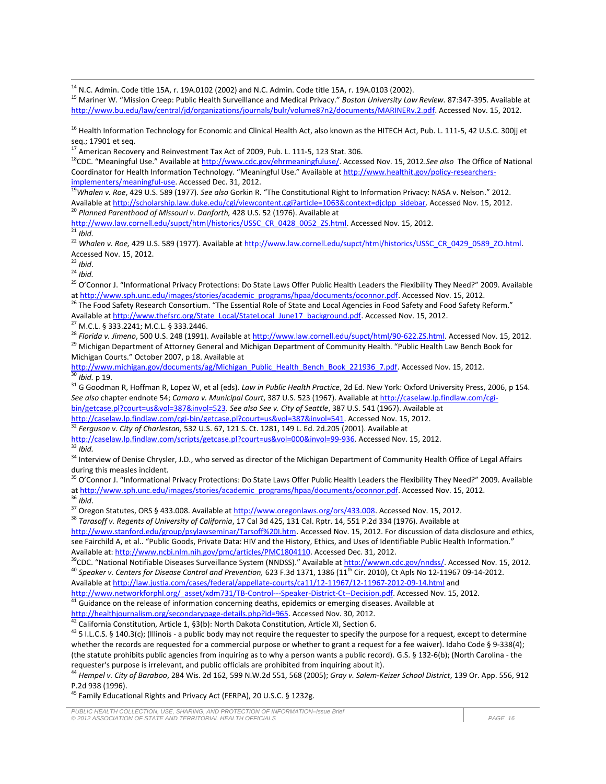<sup>14</sup> N.C. Admin. Code title 15A, r. 19A.0102 (2002) and N.C. Admin. Code title 15A, r. 19A.0103 (2002).

<sup>15</sup> Mariner W. "Mission Creep: Public Health Surveillance and Medical Privacy." *Boston University Law Review.* 87:347-395. Available at [http://www.bu.edu/law/central/jd/organizations/journals/bulr/volume87n2/documents/MARINERv.2.pdf.](http://www.bu.edu/law/central/jd/organizations/journals/bulr/volume87n2/documents/MARINERv.2.pdf) Accessed Nov. 15, 2012.

<sup>16</sup> Health Information Technology for Economic and Clinical Health Act, also known as the HITECH Act, Pub. L. 111-5, 42 U.S.C. 300jj et seq.; 17901 et seq.

 $^{17}$  American Recovery and Reinvestment Tax Act of 2009, Pub. L. 111-5, 123 Stat. 306.

<sup>18</sup>CDC. "Meaningful Use." Available a[t http://www.cdc.gov/ehrmeaningfuluse/.](http://www.cdc.gov/ehrmeaningfuluse/) Accessed Nov. 15, 2012.See also The Office of National Coordinator for Health Information Technology. "Meaningful Use." Available a[t http://www.healthit.gov/policy-researchers](http://www.healthit.gov/policy-researchers-implementers/meaningful-use)[implementers/meaningful-use.](http://www.healthit.gov/policy-researchers-implementers/meaningful-use) Accessed Dec. 31, 2012.

<sup>19</sup>*Whalen v. Roe*, 429 U.S. 589 (1977). *See also* Gorkin R. "The Constitutional Right to Information Privacy: NASA v. Nelson." 2012. Available a[t http://scholarship.law.duke.edu/cgi/viewcontent.cgi?article=1063&context=djclpp\\_sidebar.](http://scholarship.law.duke.edu/cgi/viewcontent.cgi?article=1063&context=djclpp_sidebar) Accessed Nov. 15, 2012. <sup>20</sup> Planned Parenthood of Missouri v. Danforth, 428 U.S. 52 (1976). Available at

[http://www.law.cornell.edu/supct/html/historics/USSC\\_CR\\_0428\\_0052\\_ZS.html.](http://www.law.cornell.edu/supct/html/historics/USSC_CR_0428_0052_ZS.html) Accessed Nov. 15, 2012. <sup>21</sup> *Ibid.*

<sup>22</sup> Whalen v. Roe, 429 U.S. 589 (1977). Available at [http://www.law.cornell.edu/supct/html/historics/USSC\\_CR\\_0429\\_0589\\_ZO.html.](http://www.law.cornell.edu/supct/html/historics/USSC_CR_0429_0589_ZO.html) Accessed Nov. 15, 2012.

<sup>23</sup> *Ibid*.

<sup>24</sup> *Ibid.*

 $\overline{\phantom{a}}$ 

<sup>25</sup> O'Connor J. "Informational Privacy Protections: Do State Laws Offer Public Health Leaders the Flexibility They Need?" 2009. Available at [http://www.sph.unc.edu/images/stories/academic\\_programs/hpaa/documents/oconnor.pdf.](http://www.sph.unc.edu/images/stories/academic_programs/hpaa/documents/oconnor.pdf) Accessed Nov. 15, 2012.

<sup>27</sup> M.C.L. § 333.2241; M.C.L. § 333.2446.

<sup>28</sup> Florida v. Jimeno, 500 U.S. 248 (1991). Available a[t http://www.law.cornell.edu/supct/html/90-622.ZS.html.](http://www.law.cornell.edu/supct/html/90-622.ZS.html) Accessed Nov. 15, 2012.

<sup>29</sup> Michigan Department of Attorney General and Michigan Department of Community Health. "Public Health Law Bench Book for Michigan Courts." October 2007, p 18. Available at

[http://www.michigan.gov/documents/ag/Michigan\\_Public\\_Health\\_Bench\\_Book\\_221936\\_7.pdf.](http://www.michigan.gov/documents/ag/Michigan_Public_Health_Bench_Book_221936_7.pdf) Accessed Nov. 15, 2012.  $\frac{30}{30}$  *Ibid.* p 19.

<sup>31</sup> G Goodman R, Hoffman R, Lopez W, et al (eds). *Law in Public Health Practice*, 2d Ed. New York: Oxford University Press, 2006, p 154. *See also* chapter endnote 54; *Camara v. Municipal Court*, 387 U.S. 523 (1967). Available a[t http://caselaw.lp.findlaw.com/cgi](http://caselaw.lp.findlaw.com/cgi-bin/getcase.pl?court=us&vol=387&invol=523)[bin/getcase.pl?court=us&vol=387&invol=523.](http://caselaw.lp.findlaw.com/cgi-bin/getcase.pl?court=us&vol=387&invol=523) *See also See v. City of Seattle*, 387 U.S. 541 (1967). Available at

[http://caselaw.lp.findlaw.com/cgi-bin/getcase.pl?court=us&vol=387&invol=541.](http://caselaw.lp.findlaw.com/cgi-bin/getcase.pl?court=us&vol=387&invol=541) Accessed Nov. 15, 2012.

<sup>32</sup> *Ferguson v. City of Charleston,* 532 U.S. 67, 121 S. Ct. 1281, 149 L. Ed. 2d.205 (2001). Available at

[http://caselaw.lp.findlaw.com/scripts/getcase.pl?court=us&vol=000&invol=99-936.](http://caselaw.lp.findlaw.com/scripts/getcase.pl?court=us&vol=000&invol=99-936) Accessed Nov. 15, 2012. <sup>33</sup> *Ibid.*

<sup>34</sup> Interview of Denise Chrysler, J.D., who served as director of the Michigan Department of Community Health Office of Legal Affairs during this measles incident.

<sup>35</sup> O'Connor J. "Informational Privacy Protections: Do State Laws Offer Public Health Leaders the Flexibility They Need?" 2009. Available at [http://www.sph.unc.edu/images/stories/academic\\_programs/hpaa/documents/oconnor.pdf.](http://www.sph.unc.edu/images/stories/academic_programs/hpaa/documents/oconnor.pdf) Accessed Nov. 15, 2012.

<sup>36</sup> *Ibid*.

<sup>37</sup> Oregon Statutes, ORS § 433.008. Available a[t http://www.oregonlaws.org/ors/433.008.](http://www.oregonlaws.org/ors/433.008) Accessed Nov. 15, 2012.

<sup>38</sup> *Tarasoff v. Regents of University of California*, 17 Cal 3d 425, 131 Cal. Rptr. 14, 551 P.2d 334 (1976). Available at

[http://www.stanford.edu/group/psylawseminar/Tarsoff%20I.htm.](http://www.stanford.edu/group/psylawseminar/Tarsoff%20I.htm) Accessed Nov. 15, 2012. For discussion of data disclosure and ethics, see Fairchild A, et al.. "Public Goods, Private Data: HIV and the History, Ethics, and Uses of Identifiable Public Health Information." Available at[: http://www.ncbi.nlm.nih.gov/pmc/articles/PMC1804110.](http://www.ncbi.nlm.nih.gov/pmc/articles/PMC1804110) Accessed Dec. 31, 2012.

<sup>39</sup>CDC. "National Notifiable Diseases Surveillance System (NNDSS)." Available a[t http://wwwn.cdc.gov/nndss/.](http://wwwn.cdc.gov/nndss/) Accessed Nov. 15, 2012. <sup>40</sup> Speaker v. Centers for Disease Control and Prevention, 623 F.3d 1371, 1386 (11<sup>th</sup> Cir. 2010), Ct Apls No 12-11967 09-14-2012.

Available a[t http://law.justia.com/cases/federal/appellate-courts/ca11/12-11967/12-11967-2012-09-14.html](http://law.justia.com/cases/federal/appellate-courts/ca11/12-11967/12-11967-2012-09-14.html) and

[http://www.networkforphl.org/\\_asset/xdm731/TB-Control---Speaker-District-Ct--Decision.pdf.](http://www.networkforphl.org/_asset/xdm731/TB-Control---Speaker-District-Ct--Decision.pdf) Accessed Nov. 15, 2012.

<sup>41</sup> Guidance on the release of information concerning deaths, epidemics or emerging diseases. Available at

[http://healthjournalism.org/secondarypage-details.php?id=965.](http://healthjournalism.org/secondarypage-details.php?id=965) Accessed Nov. 30, 2012.

<sup>42</sup> California Constitution, Article 1, §3(b): North Dakota Constitution, Article XI, Section 6.

 $43$  5 I.L.C.S. § 140.3(c); (Illinois - a public body may not require the requester to specify the purpose for a request, except to determine whether the records are requested for a commercial purpose or whether to grant a request for a fee waiver). Idaho Code § 9-338(4); (the statute prohibits public agencies from inquiring as to why a person wants a public record). G.S. § 132-6(b); (North Carolina - the requester's purpose is irrelevant, and public officials are prohibited from inquiring about it).

<sup>44</sup> *Hempel v. City of Baraboo*, 284 Wis. 2d 162, 599 N.W.2d 551, 568 (2005); *Gray v. Salem-Keizer School District*, 139 Or. App. 556, 912 P.2d 938 (1996).

<sup>45</sup> Family Educational Rights and Privacy Act (FERPA), 20 U.S.C. § 1232g.

<sup>&</sup>lt;sup>26</sup> The Food Safety Research Consortium. "The Essential Role of State and Local Agencies in Food Safety and Food Safety Reform." Available a[t http://www.thefsrc.org/State\\_Local/StateLocal\\_June17\\_background.pdf.](http://www.thefsrc.org/State_Local/StateLocal_June17_background.pdf) Accessed Nov. 15, 2012.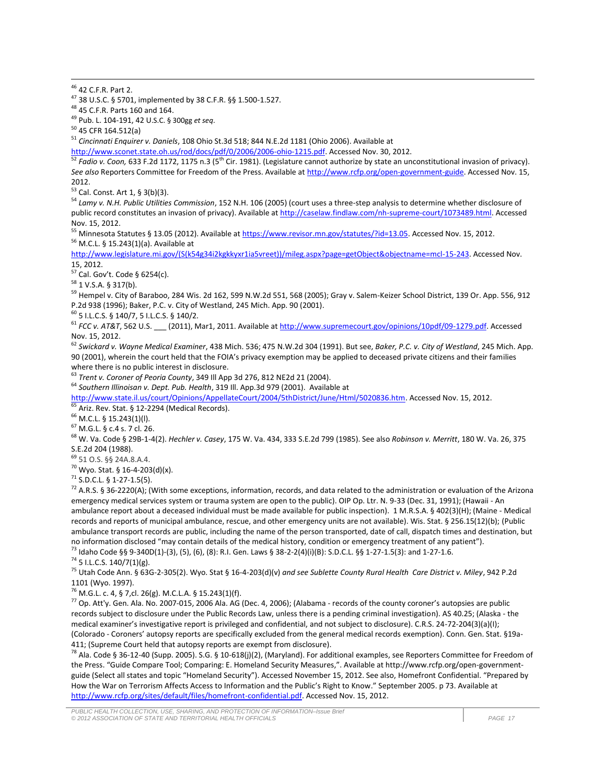<sup>46</sup> 42 C.F.R. Part 2.

 $\overline{\phantom{a}}$ 

<sup>47</sup> 38 U.S.C. § 5701, implemented by 38 C.F.R. §§ 1.500-1.527.

<sup>48</sup> 45 C.F.R. Parts 160 and 164.

<sup>49</sup> Pub. L. 104-191, 42 U.S.C. § 300gg *et seq*.

<sup>50</sup> 45 CFR 164.512(a)

<sup>51</sup> *Cincinnati Enquirer v. Daniels*, 108 Ohio St.3d 518; 844 N.E.2d 1181 (Ohio 2006). Available at

[http://www.sconet.state.oh.us/rod/docs/pdf/0/2006/2006-ohio-1215.pdf.](http://www.sconet.state.oh.us/rod/docs/pdf/0/2006/2006-ohio-1215.pdf) Accessed Nov. 30, 2012.

<sup>52</sup> Fadio v. Coon, 633 F.2d 1172, 1175 n.3 (5<sup>th</sup> Cir. 1981). (Legislature cannot authorize by state an unconstitutional invasion of privacy). *See also* Reporters Committee for Freedom of the Press. Available a[t http://www.rcfp.org/open-government-guide.](http://www.rcfp.org/open-government-guide) Accessed Nov. 15, 2012.

<sup>53</sup> Cal. Const. Art 1, § 3(b)(3).

<sup>54</sup> *Lamy v. N.H. Public Utilities Commission*, 152 N.H. 106 (2005) (court uses a three-step analysis to determine whether disclosure of public record constitutes an invasion of privacy). Available a[t http://caselaw.findlaw.com/nh-supreme-court/1073489.html.](http://caselaw.findlaw.com/nh-supreme-court/1073489.html) Accessed Nov. 15, 2012.

<sup>55</sup> Minnesota Statutes § 13.05 (2012). Available at [https://www.revisor.mn.gov/statutes/?id=13.05.](https://www.revisor.mn.gov/statutes/?id=13.05) Accessed Nov. 15, 2012. <sup>56</sup> M.C.L. § 15.243(1)(a). Available at

[http://www.legislature.mi.gov/\(S\(k54g34i2kgkkyxr1ia5vreet\)\)/mileg.aspx?page=getObject&objectname=mcl-15-243.](http://www.legislature.mi.gov/(S(k54g34i2kgkkyxr1ia5vreet))/mileg.aspx?page=getObject&objectname=mcl-15-243) Accessed Nov. 15, 2012.

 $57$  Cal. Gov't. Code § 6254(c).

<sup>58</sup> 1 V.S.A. § 317(b).

<sup>59</sup> Hempel v. City of Baraboo, 284 Wis. 2d 162, 599 N.W.2d 551, 568 (2005); Gray v. Salem-Keizer School District, 139 Or. App. 556, 912 P.2d 938 (1996); Baker, P.C. v. City of Westland, 245 Mich. App. 90 (2001).

<sup>60</sup> 5 I.L.C.S. § 140/7, 5 I.L.C.S. § 140/2.

<sup>61</sup> FCC v. AT&T, 562 U.S. \_\_\_ (2011), Mar1, 2011. Available a[t http://www.supremecourt.gov/opinions/10pdf/09-1279.pdf.](http://www.supremecourt.gov/opinions/10pdf/09-1279.pdf) Accessed Nov. 15, 2012.

<sup>62</sup> *Swickard v. Wayne Medical Examiner*, 438 Mich. 536; 475 N.W.2d 304 (1991). But see, *Baker, P.C. v. City of Westland*, 245 Mich. App. 90 (2001), wherein the court held that the FOIA's privacy exemption may be applied to deceased private citizens and their families where there is no public interest in disclosure.

<sup>63</sup> *Trent v. Coroner of Peoria County*, 349 Ill App 3d 276, 812 NE2d 21 (2004).

<sup>64</sup> *Southern Illinoisan v. Dept. Pub. Health*, 319 Ill. App.3d 979 (2001). Available at

[http://www.state.il.us/court/Opinions/AppellateCourt/2004/5thDistrict/June/Html/5020836.htm.](http://www.state.il.us/court/Opinions/AppellateCourt/2004/5thDistrict/June/Html/5020836.htm) Accessed Nov. 15, 2012.

Ariz. Rev. Stat. § 12-2294 (Medical Records).

<sup>66</sup> M.C.L. § 15.243(1)(l).

<sup>67</sup> M.G.L. § c.4 s. 7 cl. 26.

<sup>68</sup> W. Va. Code § 29B-1-4(2). *Hechler v. Casey*, 175 W. Va. 434, 333 S.E.2d 799 (1985). See also *Robinson v. Merritt*, 180 W. Va. 26, 375 S.E.2d 204 (1988).

<sup>69</sup> 51 O.S. §§ 24A.8.A.4.

 $70$  Wyo. Stat. § 16-4-203(d)(x).

<sup>71</sup> S.D.C.L. § 1-27-1.5(5).

 $72$  A.R.S. § 36-2220(A); (With some exceptions, information, records, and data related to the administration or evaluation of the Arizona emergency medical services system or trauma system are open to the public). OIP Op. Ltr. N. 9-33 (Dec. 31, 1991); (Hawaii - An ambulance report about a deceased individual must be made available for public inspection). 1 M.R.S.A. § 402(3)(H); (Maine - Medical records and reports of municipal ambulance, rescue, and other emergency units are not available). Wis. Stat. § 256.15(12)(b); (Public ambulance transport records are public, including the name of the person transported, date of call, dispatch times and destination, but no information disclosed "may contain details of the medical history, condition or emergency treatment of any patient").  $^{73}$  Idaho Code §§ 9-340D(1)-(3), (5), (6), (8): R.I. Gen. Laws § 38-2-2(4)(i)(B): S.D.C.L. §§ 1-27-1.5(3): and 1-27-1.6.

<sup>74</sup> 5 I.L.C.S. 140/7(1)(g).

<sup>75</sup> Utah Code Ann. § 63G-2-305(2). Wyo. Stat § 16-4-203(d)(v) *and see Sublette County Rural Health Care District v. Miley*, 942 P.2d 1101 (Wyo. 1997).

<sup>76</sup> M.G.L. c. 4, § 7,cl. 26(g). M.C.L.A. § 15.243(1)(f).

 $^{77}$  Op. Att'y. Gen. Ala. No. 2007-015, 2006 Ala. AG (Dec. 4, 2006); (Alabama - records of the county coroner's autopsies are public records subject to disclosure under the Public Records Law, unless there is a pending criminal investigation). AS 40.25; (Alaska - the medical examiner's investigative report is privileged and confidential, and not subject to disclosure). C.R.S. 24-72-204(3)(a)(I); (Colorado - Coroners' autopsy reports are specifically excluded from the general medical records exemption). Conn. Gen. Stat. §19a-411; (Supreme Court held that autopsy reports are exempt from disclosure).

<sup>78</sup> Ala. Code § 36-12-40 (Supp. 2005). S.G. § 10-618(j)(2), (Maryland). For additional examples, see Reporters Committee for Freedom of the Press. "Guide Compare Tool; Comparing: E. Homeland Security Measures,". Available at http://www.rcfp.org/open-governmentguide (Select all states and topic "Homeland Security"). Accessed November 15, 2012. See also, Homefront Confidential. "Prepared by How the War on Terrorism Affects Access to Information and the Public's Right to Know." September 2005. p 73. Available at [http://www.rcfp.org/sites/default/files/homefront-confidential.pdf.](http://www.rcfp.org/sites/default/files/homefront-confidential.pdf) Accessed Nov. 15, 2012.